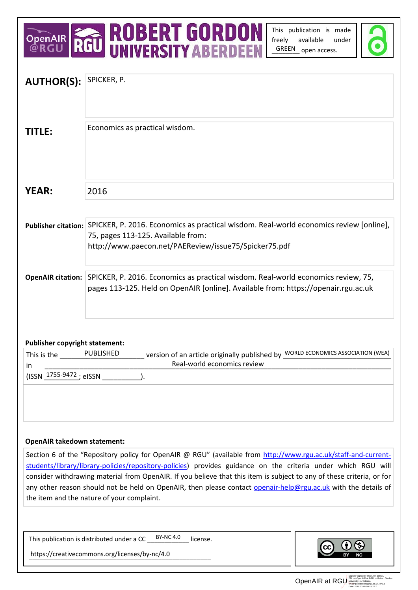# OPENAIR **ROBERT GORDON**

This publication is made freely available under GREEN open access.



| <b>AUTHOR(S):</b>                                                                                                                                            | SPICKER, P.                                                                                                                                      |
|--------------------------------------------------------------------------------------------------------------------------------------------------------------|--------------------------------------------------------------------------------------------------------------------------------------------------|
|                                                                                                                                                              |                                                                                                                                                  |
|                                                                                                                                                              |                                                                                                                                                  |
|                                                                                                                                                              |                                                                                                                                                  |
| <b>TITLE:</b>                                                                                                                                                | Economics as practical wisdom.                                                                                                                   |
|                                                                                                                                                              |                                                                                                                                                  |
|                                                                                                                                                              |                                                                                                                                                  |
|                                                                                                                                                              |                                                                                                                                                  |
| <b>YEAR:</b>                                                                                                                                                 | 2016                                                                                                                                             |
|                                                                                                                                                              |                                                                                                                                                  |
|                                                                                                                                                              |                                                                                                                                                  |
|                                                                                                                                                              | Publisher citation: SPICKER, P. 2016. Economics as practical wisdom. Real-world economics review [online],<br>75, pages 113-125. Available from: |
|                                                                                                                                                              | http://www.paecon.net/PAEReview/issue75/Spicker75.pdf                                                                                            |
|                                                                                                                                                              |                                                                                                                                                  |
|                                                                                                                                                              | <b>OpenAIR citation:</b> SPICKER, P. 2016. Economics as practical wisdom. Real-world economics review, 75,                                       |
|                                                                                                                                                              | pages 113-125. Held on OpenAIR [online]. Available from: https://openair.rgu.ac.uk                                                               |
|                                                                                                                                                              |                                                                                                                                                  |
|                                                                                                                                                              |                                                                                                                                                  |
|                                                                                                                                                              |                                                                                                                                                  |
| <b>Publisher copyright statement:</b>                                                                                                                        |                                                                                                                                                  |
| This is the PUBLISHED                                                                                                                                        | version of an article originally published by WORLD ECONOMICS ASSOCIATION (WEA)<br>Real-world economics review                                   |
| in.<br>$(ISSN \frac{1755-9472}{1755})$ elSSN                                                                                                                 |                                                                                                                                                  |
|                                                                                                                                                              |                                                                                                                                                  |
|                                                                                                                                                              |                                                                                                                                                  |
|                                                                                                                                                              |                                                                                                                                                  |
|                                                                                                                                                              |                                                                                                                                                  |
| <b>OpenAIR takedown statement:</b>                                                                                                                           |                                                                                                                                                  |
| Section 6 of the "Repository policy for OpenAIR @ RGU" (available from http://www.rgu.ac.uk/staff-and-current-                                               |                                                                                                                                                  |
| students/library/library-policies/repository-policies) provides guidance on the criteria under which RGU will                                                |                                                                                                                                                  |
| consider withdrawing material from OpenAIR. If you believe that this item is subject to any of these criteria, or for                                        |                                                                                                                                                  |
| any other reason should not be held on OpenAIR, then please contact openair-help@rgu.ac.uk with the details of<br>the item and the nature of your complaint. |                                                                                                                                                  |
|                                                                                                                                                              |                                                                                                                                                  |
|                                                                                                                                                              |                                                                                                                                                  |
| <b>BY-NC 4.0</b><br>This publication is distributed under a CC<br>license.                                                                                   |                                                                                                                                                  |
| https://creativecommons.org/licenses/by-nc/4.0                                                                                                               |                                                                                                                                                  |
|                                                                                                                                                              |                                                                                                                                                  |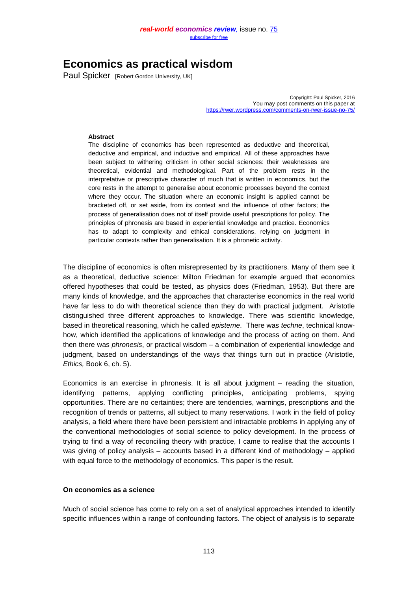# **Economics as practical wisdom**

Paul Spicker[Robert Gordon University, UK]

Copyright: Paul Spicker, 2016 You may post comments on this paper at <https://rwer.wordpress.com/comments-on-rwer-issue-no-75/>

#### **Abstract**

The discipline of economics has been represented as deductive and theoretical, deductive and empirical, and inductive and empirical. All of these approaches have been subject to withering criticism in other social sciences: their weaknesses are theoretical, evidential and methodological. Part of the problem rests in the interpretative or prescriptive character of much that is written in economics, but the core rests in the attempt to generalise about economic processes beyond the context where they occur. The situation where an economic insight is applied cannot be bracketed off, or set aside, from its context and the influence of other factors; the process of generalisation does not of itself provide useful prescriptions for policy. The principles of phronesis are based in experiential knowledge and practice. Economics has to adapt to complexity and ethical considerations, relying on judgment in particular contexts rather than generalisation. It is a phronetic activity.

The discipline of economics is often misrepresented by its practitioners. Many of them see it as a theoretical, deductive science: Milton Friedman for example argued that economics offered hypotheses that could be tested, as physics does (Friedman, 1953). But there are many kinds of knowledge, and the approaches that characterise economics in the real world have far less to do with theoretical science than they do with practical judgment. Aristotle distinguished three different approaches to knowledge. There was scientific knowledge, based in theoretical reasoning, which he called *episteme*. There was *techne*, technical knowhow, which identified the applications of knowledge and the process of acting on them. And then there was *phronesis*, or practical wisdom – a combination of experiential knowledge and judgment, based on understandings of the ways that things turn out in practice (Aristotle, *Ethics,* Book 6, ch. 5).

Economics is an exercise in phronesis. It is all about judgment  $-$  reading the situation, identifying patterns, applying conflicting principles, anticipating problems, spying opportunities. There are no certainties; there are tendencies, warnings, prescriptions and the recognition of trends or patterns, all subject to many reservations. I work in the field of policy analysis, a field where there have been persistent and intractable problems in applying any of the conventional methodologies of social science to policy development. In the process of trying to find a way of reconciling theory with practice, I came to realise that the accounts I was giving of policy analysis – accounts based in a different kind of methodology – applied with equal force to the methodology of economics. This paper is the result.

#### **On economics as a science**

Much of social science has come to rely on a set of analytical approaches intended to identify specific influences within a range of confounding factors. The object of analysis is to separate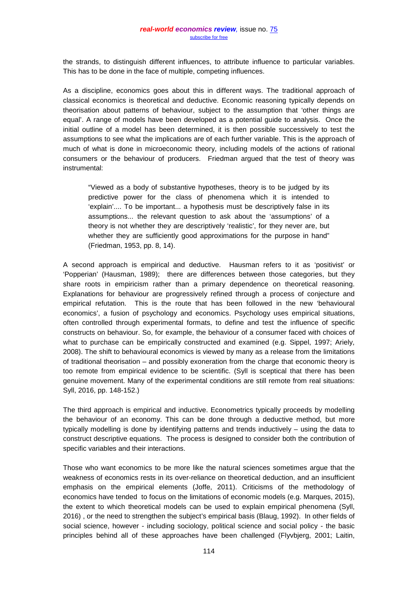the strands, to distinguish different influences, to attribute influence to particular variables. This has to be done in the face of multiple, competing influences.

As a discipline, economics goes about this in different ways. The traditional approach of classical economics is theoretical and deductive. Economic reasoning typically depends on theorisation about patterns of behaviour, subject to the assumption that 'other things are equal'. A range of models have been developed as a potential guide to analysis. Once the initial outline of a model has been determined, it is then possible successively to test the assumptions to see what the implications are of each further variable. This is the approach of much of what is done in microeconomic theory, including models of the actions of rational consumers or the behaviour of producers. Friedman argued that the test of theory was instrumental:

"Viewed as a body of substantive hypotheses, theory is to be judged by its predictive power for the class of phenomena which it is intended to 'explain'.... To be important... a hypothesis must be descriptively false in its assumptions... the relevant question to ask about the 'assumptions' of a theory is not whether they are descriptively 'realistic', for they never are, but whether they are sufficiently good approximations for the purpose in hand" (Friedman, 1953, pp. 8, 14).

A second approach is empirical and deductive. Hausman refers to it as 'positivist' or 'Popperian' (Hausman, 1989); there are differences between those categories, but they share roots in empiricism rather than a primary dependence on theoretical reasoning. Explanations for behaviour are progressively refined through a process of conjecture and empirical refutation. This is the route that has been followed in the new 'behavioural economics', a fusion of psychology and economics. Psychology uses empirical situations, often controlled through experimental formats, to define and test the influence of specific constructs on behaviour. So, for example, the behaviour of a consumer faced with choices of what to purchase can be empirically constructed and examined (e.g. Sippel, 1997; Ariely, 2008). The shift to behavioural economics is viewed by many as a release from the limitations of traditional theorisation – and possibly exoneration from the charge that economic theory is too remote from empirical evidence to be scientific. (Syll is sceptical that there has been genuine movement. Many of the experimental conditions are still remote from real situations: Syll, 2016, pp. 148-152.)

The third approach is empirical and inductive. Econometrics typically proceeds by modelling the behaviour of an economy. This can be done through a deductive method, but more typically modelling is done by identifying patterns and trends inductively – using the data to construct descriptive equations. The process is designed to consider both the contribution of specific variables and their interactions.

Those who want economics to be more like the natural sciences sometimes argue that the weakness of economics rests in its over-reliance on theoretical deduction, and an insufficient emphasis on the empirical elements (Joffe, 2011). Criticisms of the methodology of economics have tended to focus on the limitations of economic models (e.g. Marques, 2015), the extent to which theoretical models can be used to explain empirical phenomena (Syll, 2016) , or the need to strengthen the subject's empirical basis (Blaug, 1992). In other fields of social science, however - including sociology, political science and social policy - the basic principles behind all of these approaches have been challenged (Flyvbjerg, 2001; Laitin,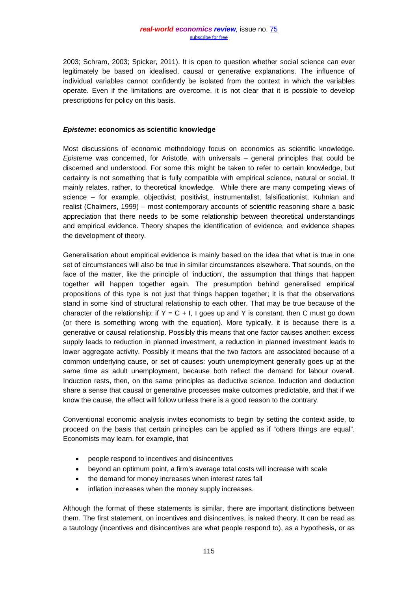2003; Schram, 2003; Spicker, 2011). It is open to question whether social science can ever legitimately be based on idealised, causal or generative explanations. The influence of individual variables cannot confidently be isolated from the context in which the variables operate. Even if the limitations are overcome, it is not clear that it is possible to develop prescriptions for policy on this basis.

#### *Episteme***: economics as scientific knowledge**

Most discussions of economic methodology focus on economics as scientific knowledge. *Episteme* was concerned, for Aristotle, with universals – general principles that could be discerned and understood. For some this might be taken to refer to certain knowledge, but certainty is not something that is fully compatible with empirical science, natural or social. It mainly relates, rather, to theoretical knowledge. While there are many competing views of science – for example, objectivist, positivist, instrumentalist, falsificationist, Kuhnian and realist (Chalmers, 1999) – most contemporary accounts of scientific reasoning share a basic appreciation that there needs to be some relationship between theoretical understandings and empirical evidence. Theory shapes the identification of evidence, and evidence shapes the development of theory.

Generalisation about empirical evidence is mainly based on the idea that what is true in one set of circumstances will also be true in similar circumstances elsewhere. That sounds, on the face of the matter, like the principle of 'induction', the assumption that things that happen together will happen together again. The presumption behind generalised empirical propositions of this type is not just that things happen together; it is that the observations stand in some kind of structural relationship to each other. That may be true because of the character of the relationship: if  $Y = C + I$ , I goes up and Y is constant, then C must go down (or there is something wrong with the equation). More typically, it is because there is a generative or causal relationship. Possibly this means that one factor causes another: excess supply leads to reduction in planned investment, a reduction in planned investment leads to lower aggregate activity. Possibly it means that the two factors are associated because of a common underlying cause, or set of causes: youth unemployment generally goes up at the same time as adult unemployment, because both reflect the demand for labour overall. Induction rests, then, on the same principles as deductive science. Induction and deduction share a sense that causal or generative processes make outcomes predictable, and that if we know the cause, the effect will follow unless there is a good reason to the contrary.

Conventional economic analysis invites economists to begin by setting the context aside, to proceed on the basis that certain principles can be applied as if "others things are equal". Economists may learn, for example, that

- people respond to incentives and disincentives
- beyond an optimum point, a firm's average total costs will increase with scale
- the demand for money increases when interest rates fall
- inflation increases when the money supply increases.

Although the format of these statements is similar, there are important distinctions between them. The first statement, on incentives and disincentives, is naked theory. It can be read as a tautology (incentives and disincentives are what people respond to), as a hypothesis, or as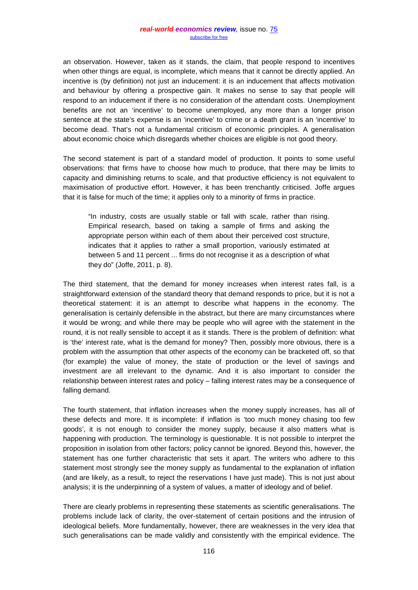an observation. However, taken as it stands, the claim, that people respond to incentives when other things are equal, is incomplete, which means that it cannot be directly applied. An incentive is (by definition) not just an inducement: it is an inducement that affects motivation and behaviour by offering a prospective gain. It makes no sense to say that people will respond to an inducement if there is no consideration of the attendant costs. Unemployment benefits are not an 'incentive' to become unemployed, any more than a longer prison sentence at the state's expense is an 'incentive' to crime or a death grant is an 'incentive' to become dead. That's not a fundamental criticism of economic principles. A generalisation about economic choice which disregards whether choices are eligible is not good theory.

The second statement is part of a standard model of production. It points to some useful observations: that firms have to choose how much to produce, that there may be limits to capacity and diminishing returns to scale, and that productive efficiency is not equivalent to maximisation of productive effort. However, it has been trenchantly criticised. Joffe argues that it is false for much of the time; it applies only to a minority of firms in practice.

"In industry, costs are usually stable or fall with scale, rather than rising. Empirical research, based on taking a sample of firms and asking the appropriate person within each of them about their perceived cost structure, indicates that it applies to rather a small proportion, variously estimated at between 5 and 11 percent ... firms do not recognise it as a description of what they do" (Joffe, 2011, p. 8).

The third statement, that the demand for money increases when interest rates fall, is a straightforward extension of the standard theory that demand responds to price, but it is not a theoretical statement: it is an attempt to describe what happens in the economy. The generalisation is certainly defensible in the abstract, but there are many circumstances where it would be wrong; and while there may be people who will agree with the statement in the round, it is not really sensible to accept it as it stands. There is the problem of definition: what is 'the' interest rate, what is the demand for money? Then, possibly more obvious, there is a problem with the assumption that other aspects of the economy can be bracketed off, so that (for example) the value of money, the state of production or the level of savings and investment are all irrelevant to the dynamic. And it is also important to consider the relationship between interest rates and policy – falling interest rates may be a consequence of falling demand.

The fourth statement, that inflation increases when the money supply increases, has all of these defects and more. It is incomplete: if inflation is 'too much money chasing too few goods', it is not enough to consider the money supply, because it also matters what is happening with production. The terminology is questionable. It is not possible to interpret the proposition in isolation from other factors; policy cannot be ignored. Beyond this, however, the statement has one further characteristic that sets it apart. The writers who adhere to this statement most strongly see the money supply as fundamental to the explanation of inflation (and are likely, as a result, to reject the reservations I have just made). This is not just about analysis; it is the underpinning of a system of values, a matter of ideology and of belief.

There are clearly problems in representing these statements as scientific generalisations. The problems include lack of clarity, the over-statement of certain positions and the intrusion of ideological beliefs. More fundamentally, however, there are weaknesses in the very idea that such generalisations can be made validly and consistently with the empirical evidence. The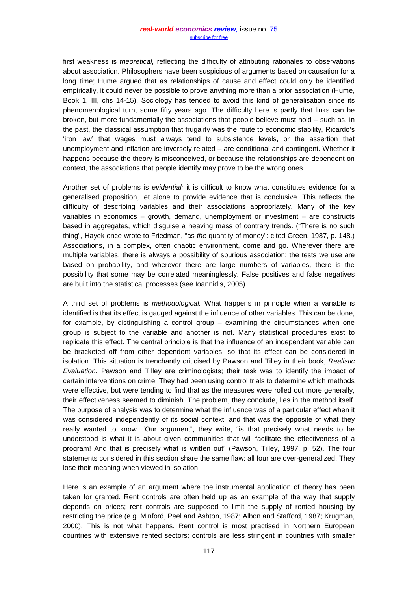first weakness is *theoretical,* reflecting the difficulty of attributing rationales to observations about association. Philosophers have been suspicious of arguments based on causation for a long time; Hume argued that as relationships of cause and effect could only be identified empirically, it could never be possible to prove anything more than a prior association (Hume, Book 1, III, chs 14-15). Sociology has tended to avoid this kind of generalisation since its phenomenological turn, some fifty years ago. The difficulty here is partly that links can be broken, but more fundamentally the associations that people believe must hold – such as, in the past, the classical assumption that frugality was the route to economic stability, Ricardo's 'iron law' that wages must always tend to subsistence levels, or the assertion that unemployment and inflation are inversely related – are conditional and contingent. Whether it happens because the theory is misconceived, or because the relationships are dependent on context, the associations that people identify may prove to be the wrong ones.

Another set of problems is *evidential:* it is difficult to know what constitutes evidence for a generalised proposition, let alone to provide evidence that is conclusive. This reflects the difficulty of describing variables and their associations appropriately. Many of the key variables in economics – growth, demand, unemployment or investment – are constructs based in aggregates, which disguise a heaving mass of contrary trends. ("There is no such thing", Hayek once wrote to Friedman, "as *the* quantity of money": cited Green, 1987, p. 148.) Associations, in a complex, often chaotic environment, come and go. Wherever there are multiple variables, there is always a possibility of spurious association; the tests we use are based on probability, and wherever there are large numbers of variables, there is the possibility that some may be correlated meaninglessly. False positives and false negatives are built into the statistical processes (see Ioannidis, 2005).

A third set of problems is *methodological.* What happens in principle when a variable is identified is that its effect is gauged against the influence of other variables. This can be done, for example, by distinguishing a control group – examining the circumstances when one group is subject to the variable and another is not. Many statistical procedures exist to replicate this effect. The central principle is that the influence of an independent variable can be bracketed off from other dependent variables, so that its effect can be considered in isolation. This situation is trenchantly criticised by Pawson and Tilley in their book, *Realistic Evaluation.* Pawson and Tilley are criminologists; their task was to identify the impact of certain interventions on crime. They had been using control trials to determine which methods were effective, but were tending to find that as the measures were rolled out more generally, their effectiveness seemed to diminish. The problem, they conclude, lies in the method itself. The purpose of analysis was to determine what the influence was of a particular effect when it was considered independently of its social context, and that was the opposite of what they really wanted to know. "Our argument", they write, "is that precisely what needs to be understood is what it is about given communities that will facilitate the effectiveness of a program! And that is precisely what is written out" (Pawson, Tilley, 1997, p. 52). The four statements considered in this section share the same flaw: all four are over-generalized. They lose their meaning when viewed in isolation.

Here is an example of an argument where the instrumental application of theory has been taken for granted. Rent controls are often held up as an example of the way that supply depends on prices; rent controls are supposed to limit the supply of rented housing by restricting the price (e.g. Minford, Peel and Ashton, 1987; Albon and Stafford, 1987; Krugman, 2000). This is not what happens. Rent control is most practised in Northern European countries with extensive rented sectors; controls are less stringent in countries with smaller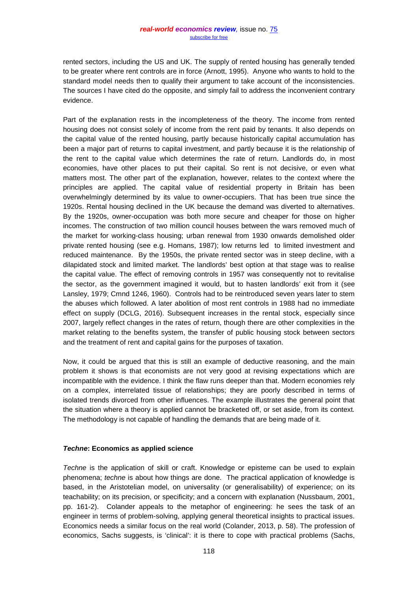rented sectors, including the US and UK. The supply of rented housing has generally tended to be greater where rent controls are in force (Arnott, 1995). Anyone who wants to hold to the standard model needs then to qualify their argument to take account of the inconsistencies. The sources I have cited do the opposite, and simply fail to address the inconvenient contrary evidence.

Part of the explanation rests in the incompleteness of the theory. The income from rented housing does not consist solely of income from the rent paid by tenants. It also depends on the capital value of the rented housing, partly because historically capital accumulation has been a major part of returns to capital investment, and partly because it is the relationship of the rent to the capital value which determines the rate of return. Landlords do, in most economies, have other places to put their capital. So rent is not decisive, or even what matters most. The other part of the explanation, however, relates to the context where the principles are applied. The capital value of residential property in Britain has been overwhelmingly determined by its value to owner-occupiers. That has been true since the 1920s. Rental housing declined in the UK because the demand was diverted to alternatives. By the 1920s, owner-occupation was both more secure and cheaper for those on higher incomes. The construction of two million council houses between the wars removed much of the market for working-class housing; urban renewal from 1930 onwards demolished older private rented housing (see e.g. Homans, 1987); low returns led to limited investment and reduced maintenance. By the 1950s, the private rented sector was in steep decline, with a dilapidated stock and limited market. The landlords' best option at that stage was to realise the capital value. The effect of removing controls in 1957 was consequently not to revitalise the sector, as the government imagined it would, but to hasten landlords' exit from it (see Lansley, 1979; Cmnd 1246, 1960). Controls had to be reintroduced seven years later to stem the abuses which followed. A later abolition of most rent controls in 1988 had no immediate effect on supply (DCLG, 2016). Subsequent increases in the rental stock, especially since 2007, largely reflect changes in the rates of return, though there are other complexities in the market relating to the benefits system, the transfer of public housing stock between sectors and the treatment of rent and capital gains for the purposes of taxation.

Now, it could be argued that this is still an example of deductive reasoning, and the main problem it shows is that economists are not very good at revising expectations which are incompatible with the evidence. I think the flaw runs deeper than that. Modern economies rely on a complex, interrelated tissue of relationships; they are poorly described in terms of isolated trends divorced from other influences. The example illustrates the general point that the situation where a theory is applied cannot be bracketed off, or set aside, from its context*.*  The methodology is not capable of handling the demands that are being made of it.

## *Techne***: Economics as applied science**

*Techne* is the application of skill or craft. Knowledge or episteme can be used to explain phenomena; *techne* is about how things are done. The practical application of knowledge is based, in the Aristotelian model, on universality (or generalisability) of experience; on its teachability; on its precision, or specificity; and a concern with explanation (Nussbaum, 2001, pp. 161-2). Colander appeals to the metaphor of engineering: he sees the task of an engineer in terms of problem-solving, applying general theoretical insights to practical issues. Economics needs a similar focus on the real world (Colander, 2013, p. 58). The profession of economics, Sachs suggests, is 'clinical': it is there to cope with practical problems (Sachs,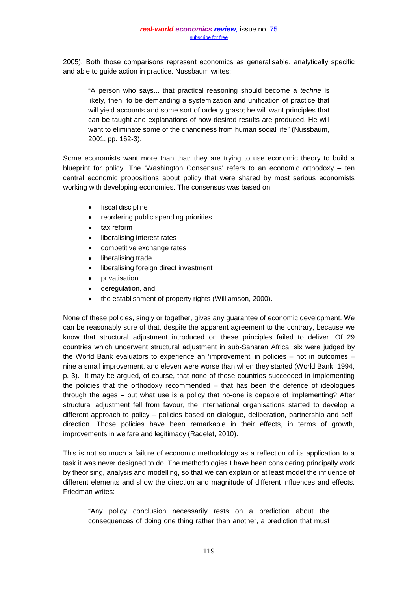2005). Both those comparisons represent economics as generalisable, analytically specific and able to guide action in practice. Nussbaum writes:

"A person who says... that practical reasoning should become a *techne* is likely, then, to be demanding a systemization and unification of practice that will yield accounts and some sort of orderly grasp; he will want principles that can be taught and explanations of how desired results are produced. He will want to eliminate some of the chanciness from human social life" (Nussbaum, 2001, pp. 162-3).

Some economists want more than that: they are trying to use economic theory to build a blueprint for policy. The 'Washington Consensus' refers to an economic orthodoxy – ten central economic propositions about policy that were shared by most serious economists working with developing economies. The consensus was based on:

- fiscal discipline
- reordering public spending priorities
- tax reform
- liberalising interest rates
- competitive exchange rates
- liberalising trade
- liberalising foreign direct investment
- privatisation
- deregulation, and
- the establishment of property rights (Williamson, 2000).

None of these policies, singly or together, gives any guarantee of economic development. We can be reasonably sure of that, despite the apparent agreement to the contrary, because we know that structural adjustment introduced on these principles failed to deliver. Of 29 countries which underwent structural adjustment in sub-Saharan Africa, six were judged by the World Bank evaluators to experience an 'improvement' in policies – not in outcomes – nine a small improvement, and eleven were worse than when they started (World Bank, 1994, p. 3). It may be argued, of course, that none of these countries succeeded in implementing the policies that the orthodoxy recommended – that has been the defence of ideologues through the ages – but what use is a policy that no-one is capable of implementing? After structural adjustment fell from favour, the international organisations started to develop a different approach to policy – policies based on dialogue, deliberation, partnership and selfdirection. Those policies have been remarkable in their effects, in terms of growth, improvements in welfare and legitimacy (Radelet, 2010).

This is not so much a failure of economic methodology as a reflection of its application to a task it was never designed to do. The methodologies I have been considering principally work by theorising, analysis and modelling, so that we can explain or at least model the influence of different elements and show the direction and magnitude of different influences and effects. Friedman writes:

"Any policy conclusion necessarily rests on a prediction about the consequences of doing one thing rather than another, a prediction that must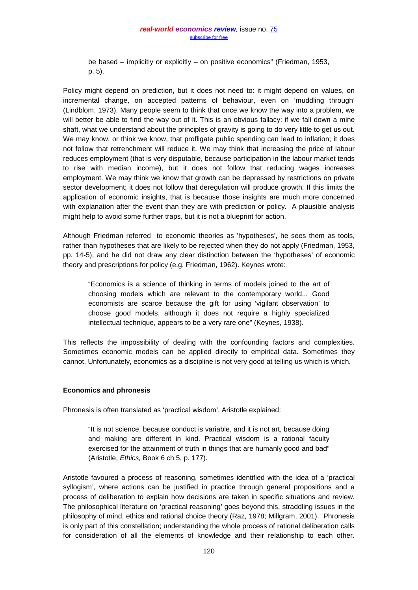be based – implicitly or explicitly – on positive economics" (Friedman, 1953, p. 5).

Policy might depend on prediction, but it does not need to: it might depend on values, on incremental change, on accepted patterns of behaviour, even on 'muddling through' (Lindblom, 1973). Many people seem to think that once we know the way into a problem, we will better be able to find the way out of it. This is an obvious fallacy: if we fall down a mine shaft, what we understand about the principles of gravity is going to do very little to get us out. We may know, or think we know, that profligate public spending can lead to inflation; it does not follow that retrenchment will reduce it. We may think that increasing the price of labour reduces employment (that is very disputable, because participation in the labour market tends to rise with median income), but it does not follow that reducing wages increases employment. We may think we know that growth can be depressed by restrictions on private sector development; it does not follow that deregulation will produce growth. If this limits the application of economic insights, that is because those insights are much more concerned with explanation after the event than they are with prediction or policy. A plausible analysis might help to avoid some further traps, but it is not a blueprint for action.

Although Friedman referred to economic theories as 'hypotheses', he sees them as tools, rather than hypotheses that are likely to be rejected when they do not apply (Friedman, 1953, pp. 14-5), and he did not draw any clear distinction between the 'hypotheses' of economic theory and prescriptions for policy (e.g. Friedman, 1962). Keynes wrote:

"Economics is a science of thinking in terms of models joined to the art of choosing models which are relevant to the contemporary world... Good economists are scarce because the gift for using 'vigilant observation' to choose good models, although it does not require a highly specialized intellectual technique, appears to be a very rare one" (Keynes, 1938).

This reflects the impossibility of dealing with the confounding factors and complexities. Sometimes economic models can be applied directly to empirical data. Sometimes they cannot. Unfortunately, economics as a discipline is not very good at telling us which is which.

## **Economics and phronesis**

Phronesis is often translated as 'practical wisdom'. Aristotle explained:

"It is not science, because conduct is variable, and it is not art, because doing and making are different in kind. Practical wisdom is a rational faculty exercised for the attainment of truth in things that are humanly good and bad" (Aristotle, *Ethics,* Book 6 ch 5, p. 177).

Aristotle favoured a process of reasoning, sometimes identified with the idea of a 'practical syllogism', where actions can be justified in practice through general propositions and a process of deliberation to explain how decisions are taken in specific situations and review. The philosophical literature on 'practical reasoning' goes beyond this, straddling issues in the philosophy of mind, ethics and rational choice theory (Raz, 1978; Millgram, 2001). Phronesis is only part of this constellation; understanding the whole process of rational deliberation calls for consideration of all the elements of knowledge and their relationship to each other.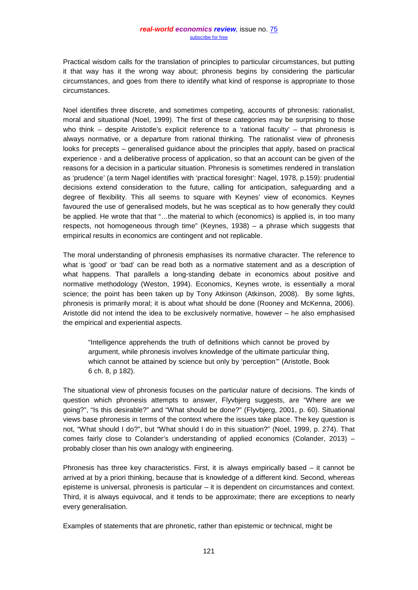Practical wisdom calls for the translation of principles to particular circumstances, but putting it that way has it the wrong way about; phronesis begins by considering the particular circumstances, and goes from there to identify what kind of response is appropriate to those circumstances.

Noel identifies three discrete, and sometimes competing, accounts of phronesis: rationalist, moral and situational (Noel, 1999). The first of these categories may be surprising to those who think – despite Aristotle's explicit reference to a 'rational faculty' – that phronesis is always normative, or a departure from rational thinking. The rationalist view of phronesis looks for precepts – generalised guidance about the principles that apply, based on practical experience - and a deliberative process of application, so that an account can be given of the reasons for a decision in a particular situation. Phronesis is sometimes rendered in translation as 'prudence' (a term Nagel identifies with 'practical foresight': Nagel, 1978, p.159): prudential decisions extend consideration to the future, calling for anticipation, safeguarding and a degree of flexibility. This all seems to square with Keynes' view of economics. Keynes favoured the use of generalised models, but he was sceptical as to how generally they could be applied. He wrote that that "…the material to which (economics) is applied is, in too many respects, not homogeneous through time" (Keynes, 1938) – a phrase which suggests that empirical results in economics are contingent and not replicable.

The moral understanding of phronesis emphasises its normative character. The reference to what is 'good' or 'bad' can be read both as a normative statement and as a description of what happens. That parallels a long-standing debate in economics about positive and normative methodology (Weston, 1994). Economics, Keynes wrote, is essentially a moral science; the point has been taken up by Tony Atkinson (Atkinson, 2008). By some lights, phronesis is primarily moral; it is about what should be done (Rooney and McKenna, 2006). Aristotle did not intend the idea to be exclusively normative, however – he also emphasised the empirical and experiential aspects.

"Intelligence apprehends the truth of definitions which cannot be proved by argument, while phronesis involves knowledge of the ultimate particular thing, which cannot be attained by science but only by 'perception'" (Aristotle, Book 6 ch. 8, p 182).

The situational view of phronesis focuses on the particular nature of decisions. The kinds of question which phronesis attempts to answer, Flyvbjerg suggests, are "Where are we going?", "Is this desirable?" and "What should be done?" (Flyvbjerg, 2001, p. 60). Situational views base phronesis in terms of the context where the issues take place. The key question is not, "What should I do?", but "What should I do in this situation?" (Noel, 1999, p. 274). That comes fairly close to Colander's understanding of applied economics (Colander, 2013) – probably closer than his own analogy with engineering.

Phronesis has three key characteristics. First, it is always empirically based – it cannot be arrived at by a priori thinking, because that is knowledge of a different kind. Second, whereas episteme is universal, phronesis is particular – it is dependent on circumstances and context. Third, it is always equivocal, and it tends to be approximate; there are exceptions to nearly every generalisation.

Examples of statements that are phronetic, rather than epistemic or technical, might be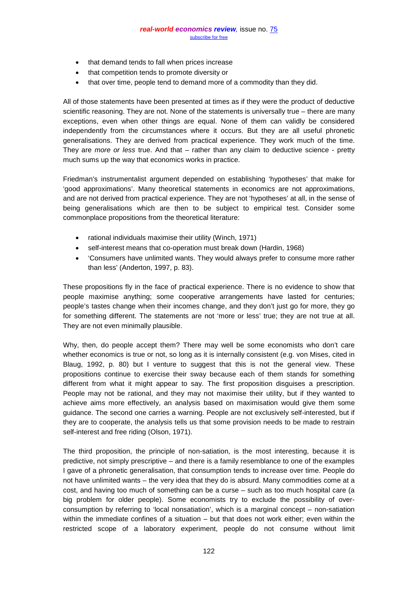- that demand tends to fall when prices increase
- that competition tends to promote diversity or
- that over time, people tend to demand more of a commodity than they did.

All of those statements have been presented at times as if they were the product of deductive scientific reasoning. They are not. None of the statements is universally true – there are many exceptions, even when other things are equal. None of them can validly be considered independently from the circumstances where it occurs. But they are all useful phronetic generalisations. They are derived from practical experience. They work much of the time. They are *more or less* true. And that – rather than any claim to deductive science - pretty much sums up the way that economics works in practice.

Friedman's instrumentalist argument depended on establishing 'hypotheses' that make for 'good approximations'. Many theoretical statements in economics are not approximations, and are not derived from practical experience. They are not 'hypotheses' at all, in the sense of being generalisations which are then to be subject to empirical test. Consider some commonplace propositions from the theoretical literature:

- rational individuals maximise their utility (Winch, 1971)
- self-interest means that co-operation must break down (Hardin, 1968)
- 'Consumers have unlimited wants. They would always prefer to consume more rather than less' (Anderton, 1997, p. 83).

These propositions fly in the face of practical experience. There is no evidence to show that people maximise anything; some cooperative arrangements have lasted for centuries; people's tastes change when their incomes change, and they don't just go for more, they go for something different. The statements are not 'more or less' true; they are not true at all. They are not even minimally plausible.

Why, then, do people accept them? There may well be some economists who don't care whether economics is true or not, so long as it is internally consistent (e.g. von Mises, cited in Blaug, 1992, p. 80) but I venture to suggest that this is not the general view. These propositions continue to exercise their sway because each of them stands for something different from what it might appear to say. The first proposition disguises a prescription. People may not be rational, and they may not maximise their utility, but if they wanted to achieve aims more effectively, an analysis based on maximisation would give them some guidance. The second one carries a warning. People are not exclusively self-interested, but if they are to cooperate, the analysis tells us that some provision needs to be made to restrain self-interest and free riding (Olson, 1971).

The third proposition, the principle of non-satiation, is the most interesting, because it is predictive, not simply prescriptive – and there is a family resemblance to one of the examples I gave of a phronetic generalisation, that consumption tends to increase over time. People do not have unlimited wants – the very idea that they do is absurd. Many commodities come at a cost, and having too much of something can be a curse – such as too much hospital care (a big problem for older people). Some economists try to exclude the possibility of overconsumption by referring to 'local nonsatiation', which is a marginal concept – non-satiation within the immediate confines of a situation – but that does not work either; even within the restricted scope of a laboratory experiment, people do not consume without limit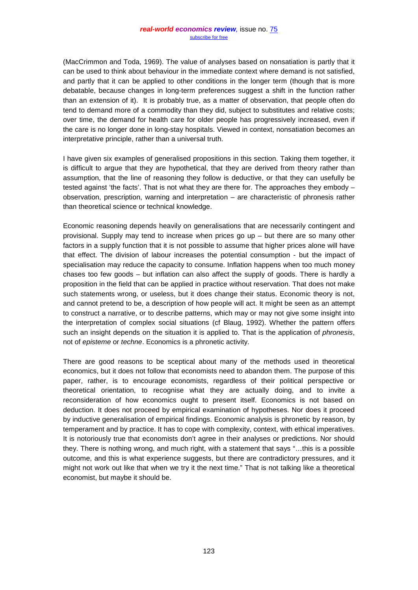(MacCrimmon and Toda, 1969). The value of analyses based on nonsatiation is partly that it can be used to think about behaviour in the immediate context where demand is not satisfied, and partly that it can be applied to other conditions in the longer term (though that is more debatable, because changes in long-term preferences suggest a shift in the function rather than an extension of it). It is probably true, as a matter of observation, that people often do tend to demand more of a commodity than they did, subject to substitutes and relative costs; over time, the demand for health care for older people has progressively increased, even if the care is no longer done in long-stay hospitals. Viewed in context, nonsatiation becomes an interpretative principle, rather than a universal truth.

I have given six examples of generalised propositions in this section. Taking them together, it is difficult to argue that they are hypothetical, that they are derived from theory rather than assumption, that the line of reasoning they follow is deductive, or that they can usefully be tested against 'the facts'. That is not what they are there for. The approaches they embody – observation, prescription, warning and interpretation – are characteristic of phronesis rather than theoretical science or technical knowledge.

Economic reasoning depends heavily on generalisations that are necessarily contingent and provisional. Supply may tend to increase when prices go up – but there are so many other factors in a supply function that it is not possible to assume that higher prices alone will have that effect. The division of labour increases the potential consumption - but the impact of specialisation may reduce the capacity to consume. Inflation happens when too much money chases too few goods – but inflation can also affect the supply of goods. There is hardly a proposition in the field that can be applied in practice without reservation. That does not make such statements wrong, or useless, but it does change their status. Economic theory is not, and cannot pretend to be, a description of how people will act. It might be seen as an attempt to construct a narrative, or to describe patterns, which may or may not give some insight into the interpretation of complex social situations (cf Blaug, 1992). Whether the pattern offers such an insight depends on the situation it is applied to. That is the application of *phronesis*, not of *episteme* or *techne*. Economics is a phronetic activity.

There are good reasons to be sceptical about many of the methods used in theoretical economics, but it does not follow that economists need to abandon them. The purpose of this paper, rather, is to encourage economists, regardless of their political perspective or theoretical orientation, to recognise what they are actually doing, and to invite a reconsideration of how economics ought to present itself. Economics is not based on deduction. It does not proceed by empirical examination of hypotheses. Nor does it proceed by inductive generalisation of empirical findings. Economic analysis is phronetic by reason, by temperament and by practice. It has to cope with complexity, context, with ethical imperatives. It is notoriously true that economists don't agree in their analyses or predictions. Nor should they. There is nothing wrong, and much right, with a statement that says "…this is a possible outcome, and this is what experience suggests, but there are contradictory pressures, and it might not work out like that when we try it the next time." That is not talking like a theoretical economist, but maybe it should be.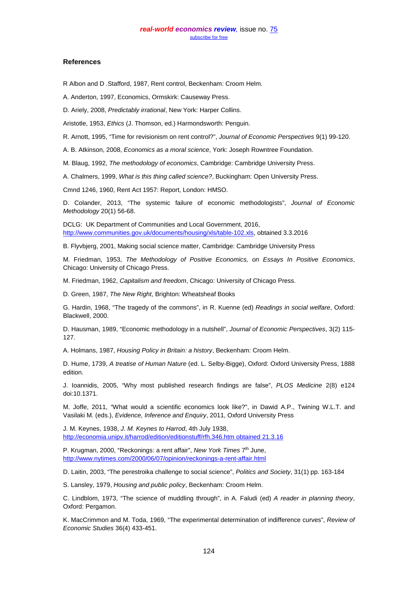#### **References**

R Albon and D .Stafford, 1987, Rent control, Beckenham: Croom Helm.

A. Anderton, 1997, Economics, Ormskirk: Causeway Press.

D. Ariely, 2008, *Predictably irrational*, New York: Harper Collins.

Aristotle, 1953, *Ethics* (J. Thomson, ed.) Harmondsworth: Penguin.

R. Arnott, 1995, "Time for revisionism on rent control?", *Journal of Economic Perspectives* 9(1) 99-120.

A. B. Atkinson, 2008, *Economics as a moral science*, York: Joseph Rowntree Foundation.

M. Blaug, 1992, *The methodology of economics*, Cambridge: Cambridge University Press.

A. Chalmers, 1999, *What is this thing called science?*, Buckingham: Open University Press.

Cmnd 1246, 1960, Rent Act 1957: Report, London: HMSO.

D. Colander, 2013, "The systemic failure of economic methodologists", *Journal of Economic Methodology* 20(1) 56-68.

DCLG: UK Department of Communities and Local Government, 2016, [http://www.communities.gov.uk/documents/housing/xls/table-102.xls,](http://www.communities.gov.uk/documents/housing/xls/table-102.xls) obtained 3.3.2016

B. Flyvbjerg, 2001, Making social science matter, Cambridge: Cambridge University Press

M. Friedman, 1953, *The Methodology of Positive Economics, on Essays In Positive Economics*, Chicago: University of Chicago Press.

M. Friedman, 1962, *Capitalism and freedom*, Chicago: University of Chicago Press.

D. Green, 1987, *The New Right*, Brighton: Wheatsheaf Books

G. Hardin, 1968, "The tragedy of the commons", in R. Kuenne (ed) *Readings in social welfare*, Oxford: Blackwell, 2000.

D. Hausman, 1989, "Economic methodology in a nutshell", *Journal of Economic Perspectives*, 3(2) 115- 127.

A. Holmans, 1987, *Housing Policy in Britain: a history*, Beckenham: Croom Helm.

D. Hume, 1739, *A treatise of Human Nature* (ed. L. Selby-Bigge), Oxford: Oxford University Press, 1888 edition.

J. Ioannidis, 2005, "Why most published research findings are false", *PLOS Medicine* 2(8) e124 doi:10.1371.

M. Joffe, 2011, "What would a scientific economics look like?", in Dawid A.P., Twining W.L.T. and Vasilaki M. (eds.), *Evidence, Inference and Enquiry*, 2011, Oxford University Press

J. M. Keynes, 1938, *J. M. Keynes to Harrod*, 4th July 1938, [http://economia.unipv.it/harrod/edition/editionstuff/rfh.346.htm obtained 21.3.16](http://economia.unipv.it/harrod/edition/editionstuff/rfh.346.htm%20obtained%2021.3.16)

P. Krugman, 2000, "Reckonings: a rent affair", *New York Times* 7<sup>th</sup> June, <http://www.nytimes.com/2000/06/07/opinion/reckonings-a-rent-affair.html>

D. Laitin, 2003, "The perestroika challenge to social science", *Politics and Society*, 31(1) pp. 163-184

S. Lansley, 1979, *Housing and public policy*, Beckenham: Croom Helm.

C. Lindblom, 1973, "The science of muddling through", in A. Faludi (ed) *A reader in planning theory*, Oxford: Pergamon.

K. MacCrimmon and M. Toda, 1969, "The experimental determination of indifference curves", *Review of Economic Studies* 36(4) 433-451.